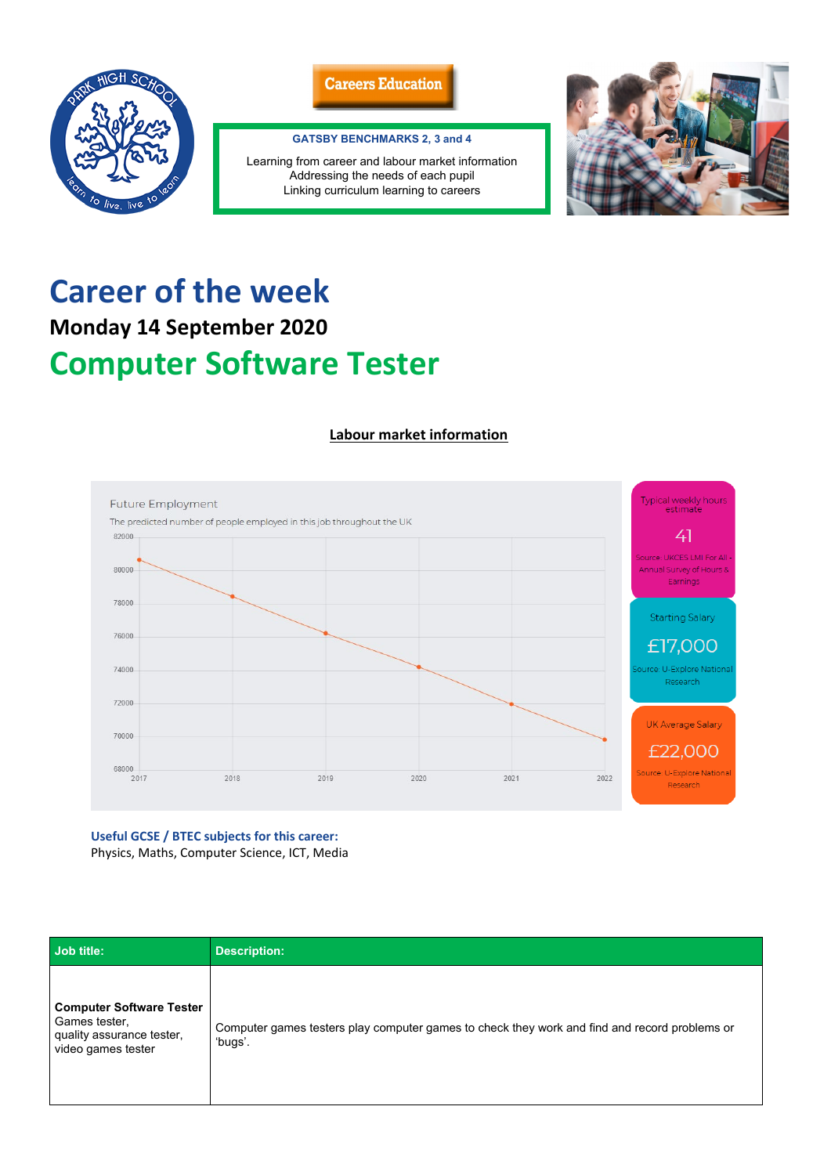## **Career of the week Monday 14 September 2020**

## **Computer Software Tester**

## **Labour market information**



**Useful GCSE / BTEC subjects for this career:** Physics, Maths, Computer Science, ICT, Media

| Job title:                                                                                          | <b>Description:</b>                                                                                      |
|-----------------------------------------------------------------------------------------------------|----------------------------------------------------------------------------------------------------------|
| <b>Computer Software Tester</b><br>Games tester,<br>quality assurance tester,<br>video games tester | Computer games testers play computer games to check they work and find and record problems or<br>'bugs'. |





## **GATSBY BENCHMARKS 2, 3 and 4**

Learning from career and labour market information Addressing the needs of each pupil Linking curriculum learning to careers